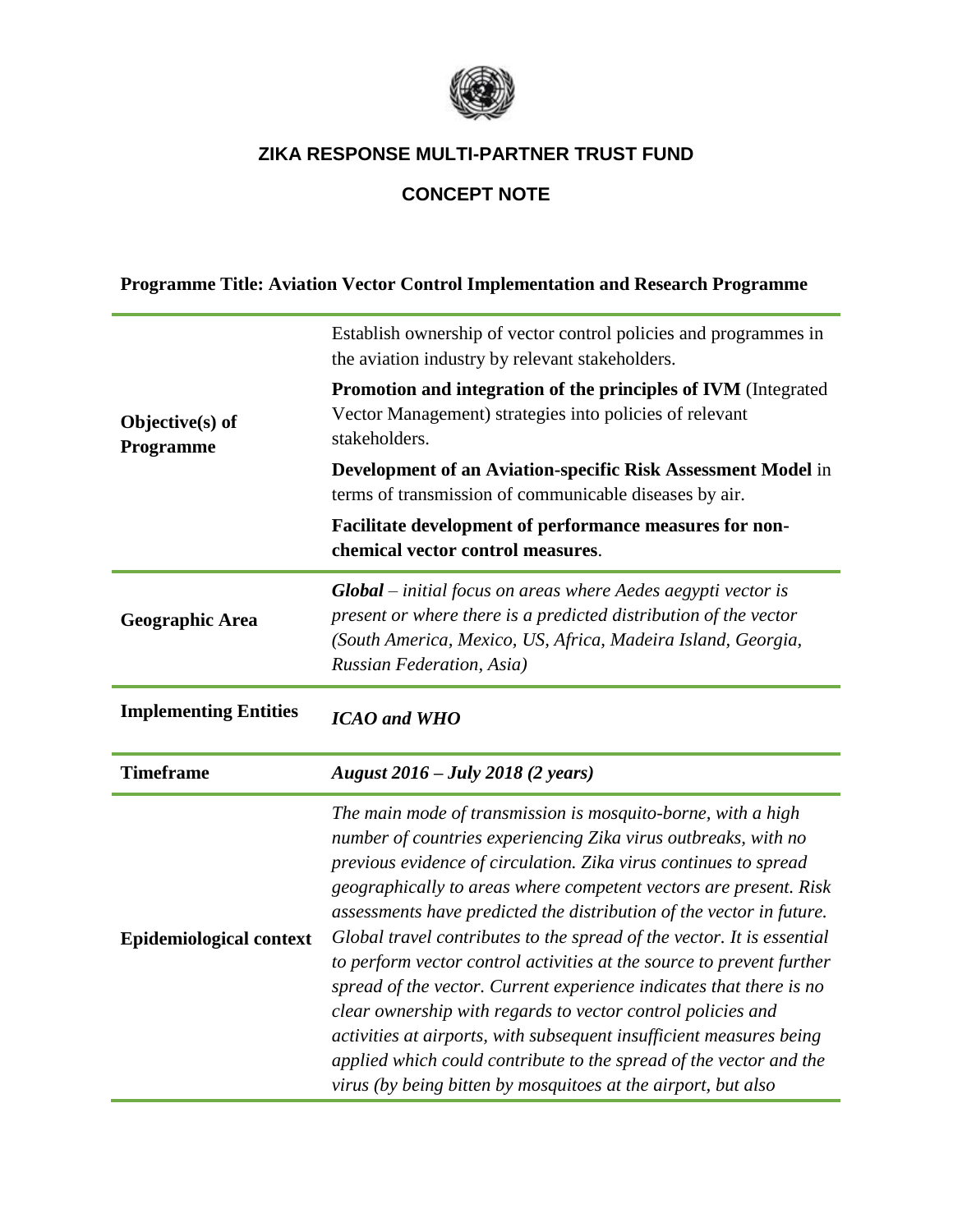

# **CONCEPT NOTE**

|  | Programme Title: Aviation Vector Control Implementation and Research Programme |
|--|--------------------------------------------------------------------------------|
|--|--------------------------------------------------------------------------------|

|                              | Establish ownership of vector control policies and programmes in<br>the aviation industry by relevant stakeholders.                                                                                                                                                     |  |  |
|------------------------------|-------------------------------------------------------------------------------------------------------------------------------------------------------------------------------------------------------------------------------------------------------------------------|--|--|
| Objective(s) of<br>Programme | Promotion and integration of the principles of IVM (Integrated<br>Vector Management) strategies into policies of relevant<br>stakeholders.                                                                                                                              |  |  |
|                              | Development of an Aviation-specific Risk Assessment Model in<br>terms of transmission of communicable diseases by air.                                                                                                                                                  |  |  |
|                              | Facilitate development of performance measures for non-<br>chemical vector control measures.                                                                                                                                                                            |  |  |
| <b>Geographic Area</b>       | $Global$ – initial focus on areas where Aedes aegypti vector is<br>present or where there is a predicted distribution of the vector<br>(South America, Mexico, US, Africa, Madeira Island, Georgia,<br>Russian Federation, Asia)                                        |  |  |
| <b>Implementing Entities</b> | <b>ICAO</b> and WHO                                                                                                                                                                                                                                                     |  |  |
| <b>Timeframe</b>             | August 2016 – July 2018 (2 years)                                                                                                                                                                                                                                       |  |  |
|                              | The main mode of transmission is mosquito-borne, with a high<br>number of countries experiencing Zika virus outbreaks, with no<br>previous evidence of circulation. Zika virus continues to spread<br>geographically to areas where competent vectors are present. Risk |  |  |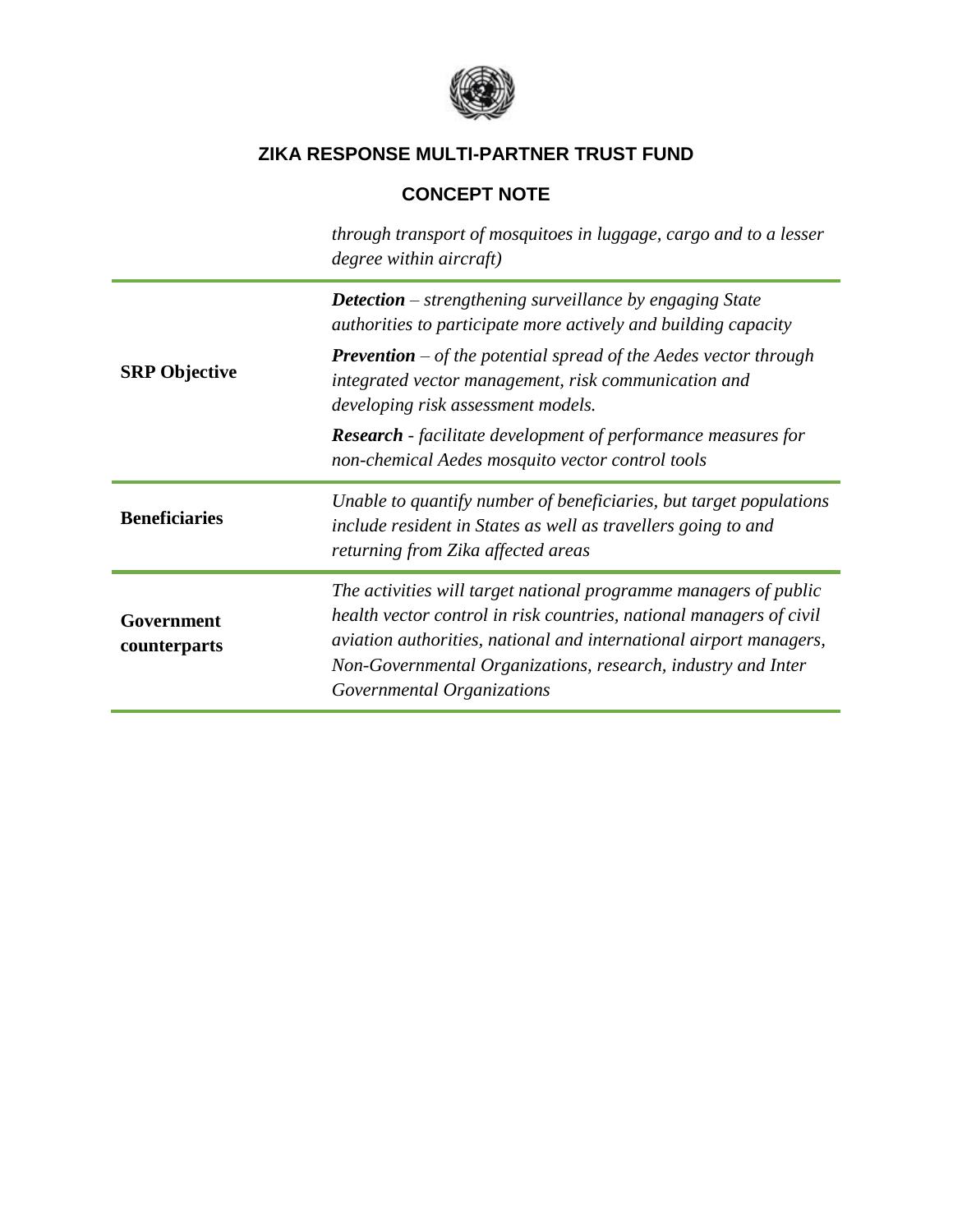

# **CONCEPT NOTE**

|                            | through transport of mosquitoes in luggage, cargo and to a lesser<br>degree within aircraft)                                                                                                                                                                                                                |  |
|----------------------------|-------------------------------------------------------------------------------------------------------------------------------------------------------------------------------------------------------------------------------------------------------------------------------------------------------------|--|
|                            | <b>Detection</b> – strengthening surveillance by engaging State<br>authorities to participate more actively and building capacity                                                                                                                                                                           |  |
| <b>SRP</b> Objective       | <b>Prevention</b> – of the potential spread of the Aedes vector through<br>integrated vector management, risk communication and<br>developing risk assessment models.                                                                                                                                       |  |
|                            | <b>Research</b> - facilitate development of performance measures for<br>non-chemical Aedes mosquito vector control tools                                                                                                                                                                                    |  |
| <b>Beneficiaries</b>       | Unable to quantify number of beneficiaries, but target populations<br>include resident in States as well as travellers going to and<br>returning from Zika affected areas                                                                                                                                   |  |
| Government<br>counterparts | The activities will target national programme managers of public<br>health vector control in risk countries, national managers of civil<br>aviation authorities, national and international airport managers,<br>Non-Governmental Organizations, research, industry and Inter<br>Governmental Organizations |  |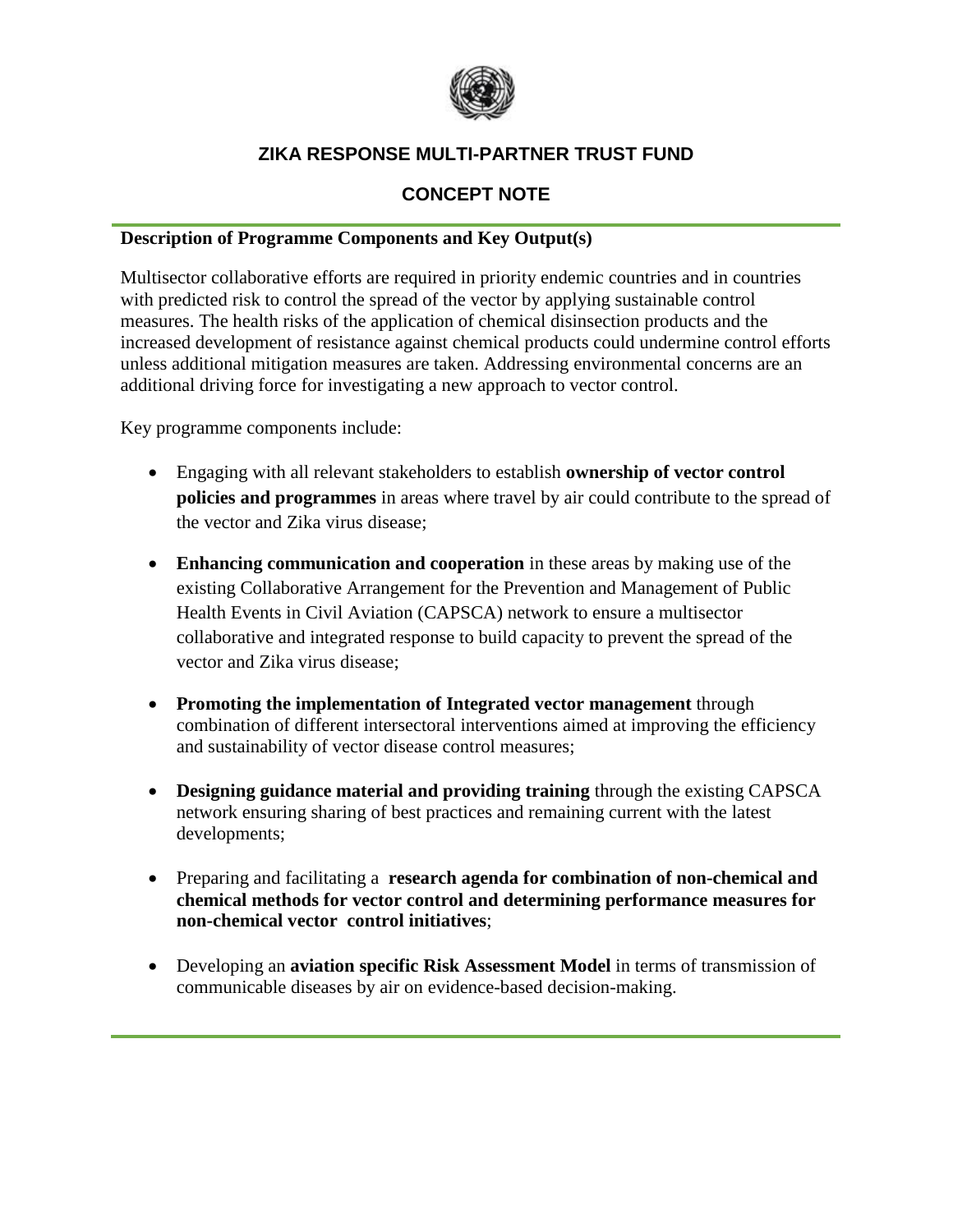

## **CONCEPT NOTE**

#### **Description of Programme Components and Key Output(s)**

Multisector collaborative efforts are required in priority endemic countries and in countries with predicted risk to control the spread of the vector by applying sustainable control measures. The health risks of the application of chemical disinsection products and the increased development of resistance against chemical products could undermine control efforts unless additional mitigation measures are taken. Addressing environmental concerns are an additional driving force for investigating a new approach to vector control.

Key programme components include:

- Engaging with all relevant stakeholders to establish **ownership of vector control policies and programmes** in areas where travel by air could contribute to the spread of the vector and Zika virus disease;
- **Enhancing communication and cooperation** in these areas by making use of the existing Collaborative Arrangement for the Prevention and Management of Public Health Events in Civil Aviation (CAPSCA) network to ensure a multisector collaborative and integrated response to build capacity to prevent the spread of the vector and Zika virus disease;
- **Promoting the implementation of Integrated vector management** through combination of different intersectoral interventions aimed at improving the efficiency and sustainability of vector disease control measures;
- **Designing guidance material and providing training** through the existing CAPSCA network ensuring sharing of best practices and remaining current with the latest developments;
- Preparing and facilitating a **research agenda for combination of non-chemical and chemical methods for vector control and determining performance measures for non-chemical vector control initiatives**;
- Developing an **aviation specific Risk Assessment Model** in terms of transmission of communicable diseases by air on evidence-based decision-making.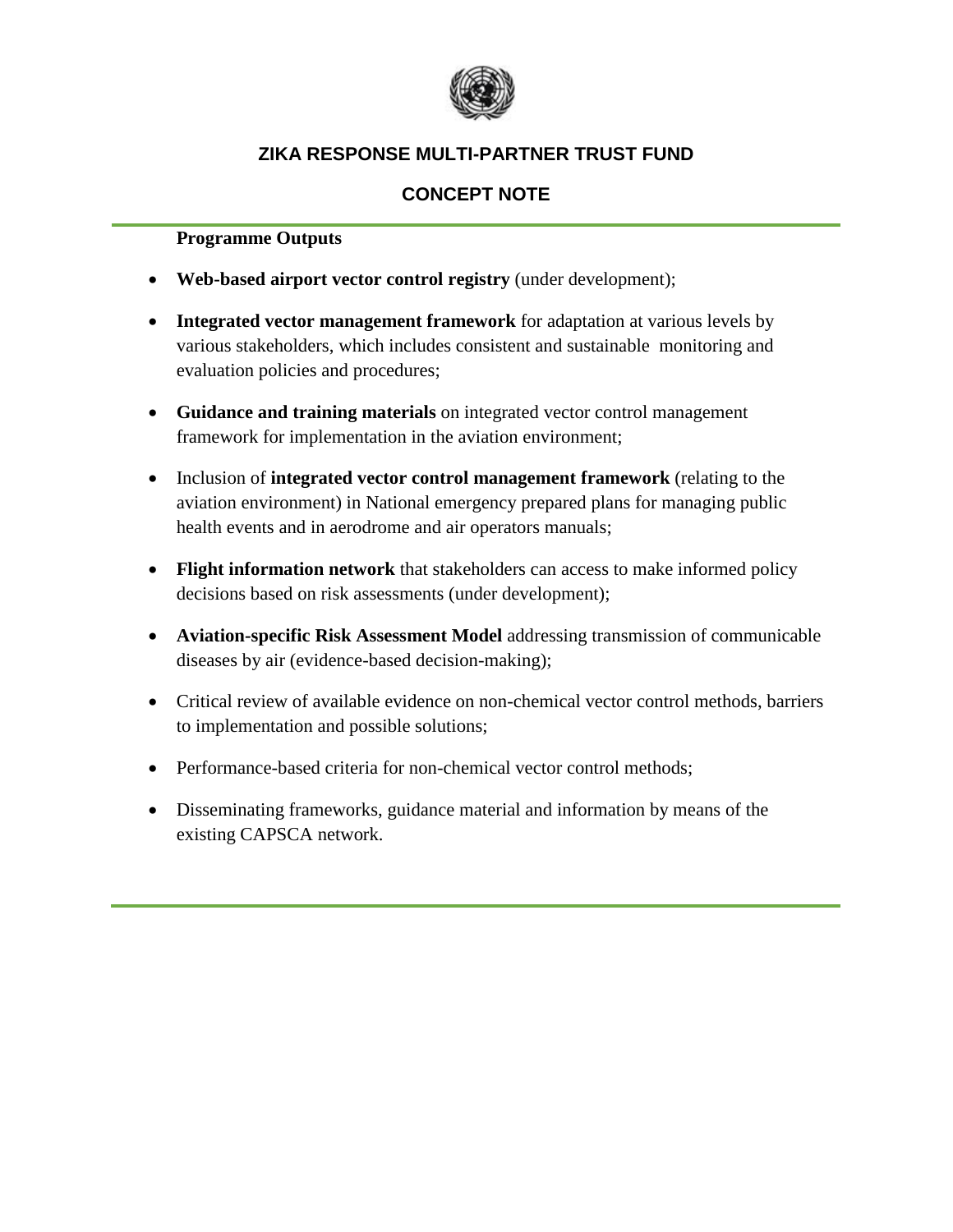

## **CONCEPT NOTE**

#### **Programme Outputs**

- **Web-based airport vector control registry** (under development);
- **Integrated vector management framework** for adaptation at various levels by various stakeholders, which includes consistent and sustainable monitoring and evaluation policies and procedures;
- **Guidance and training materials** on integrated vector control management framework for implementation in the aviation environment;
- Inclusion of **integrated vector control management framework** (relating to the aviation environment) in National emergency prepared plans for managing public health events and in aerodrome and air operators manuals;
- **Flight information network** that stakeholders can access to make informed policy decisions based on risk assessments (under development);
- **Aviation-specific Risk Assessment Model** addressing transmission of communicable diseases by air (evidence-based decision-making);
- Critical review of available evidence on non-chemical vector control methods, barriers to implementation and possible solutions;
- Performance-based criteria for non-chemical vector control methods;
- Disseminating frameworks, guidance material and information by means of the existing CAPSCA network.